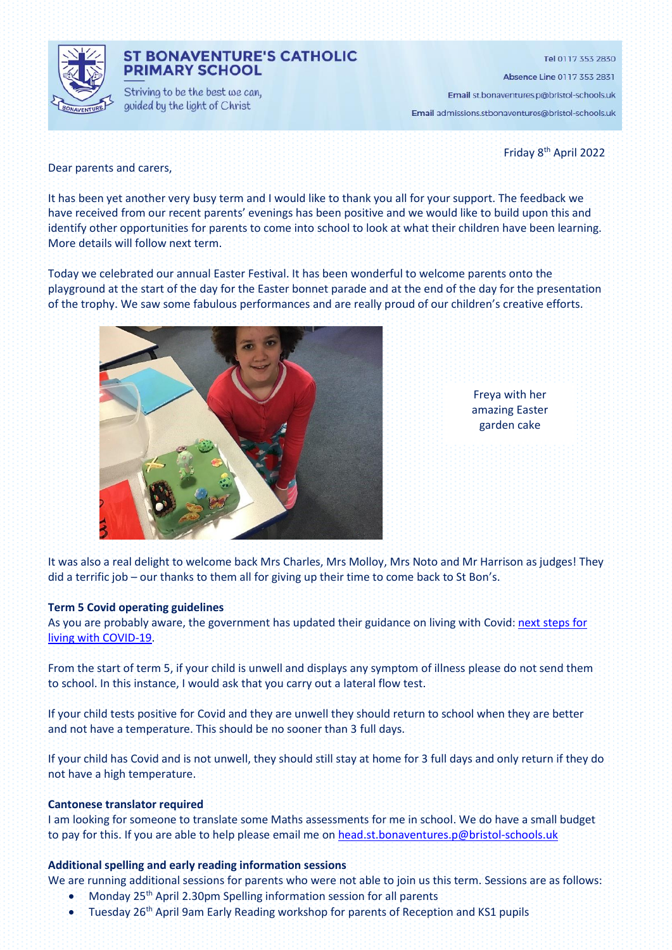

## **ST BONAVENTURE'S CATHOLIC PRIMARY SCHOOL**

Striving to be the best we can, guided by the light of Christ

Tel 0117 353 2830

Absence Line 0117 353 2831

Email st.bonaventures.p@bristol-schools.uk Email admissions.stbonaventures@bristol-schools.uk

Friday 8<sup>th</sup> April 2022

Dear parents and carers,

It has been yet another very busy term and I would like to thank you all for your support. The feedback we have received from our recent parents' evenings has been positive and we would like to build upon this and identify other opportunities for parents to come into school to look at what their children have been learning. More details will follow next term.

Today we celebrated our annual Easter Festival. It has been wonderful to welcome parents onto the playground at the start of the day for the Easter bonnet parade and at the end of the day for the presentation of the trophy. We saw some fabulous performances and are really proud of our children's creative efforts.



Freya with her amazing Easter garden cake

It was also a real delight to welcome back Mrs Charles, Mrs Molloy, Mrs Noto and Mr Harrison as judges! They did a terrific job – our thanks to them all for giving up their time to come back to St Bon's.

#### **Term 5 Covid operating guidelines**

As you are probably aware, the government has updated their guidance on living with Covid: [next steps for](https://www.gov.uk/government/news/government-sets-out-next-steps-for-living-with-covid?utm_source=31%20March%202022%20C19&utm_medium=Daily%20Email%20C19&utm_campaign=DfE%20C19)  [living with COVID-19.](https://www.gov.uk/government/news/government-sets-out-next-steps-for-living-with-covid?utm_source=31%20March%202022%20C19&utm_medium=Daily%20Email%20C19&utm_campaign=DfE%20C19)

From the start of term 5, if your child is unwell and displays any symptom of illness please do not send them to school. In this instance, I would ask that you carry out a lateral flow test.

If your child tests positive for Covid and they are unwell they should return to school when they are better and not have a temperature. This should be no sooner than 3 full days.

If your child has Covid and is not unwell, they should still stay at home for 3 full days and only return if they do not have a high temperature.

#### **Cantonese translator required**

I am looking for someone to translate some Maths assessments for me in school. We do have a small budget to pay for this. If you are able to help please email me o[n head.st.bonaventures.p@bristol-schools.uk](mailto:head.st.bonaventures.p@bristol-schools.uk)

#### **Additional spelling and early reading information sessions**

We are running additional sessions for parents who were not able to join us this term. Sessions are as follows:

- Monday 25<sup>th</sup> April 2.30pm Spelling information session for all parents
- Tuesday 26th April 9am Early Reading workshop for parents of Reception and KS1 pupils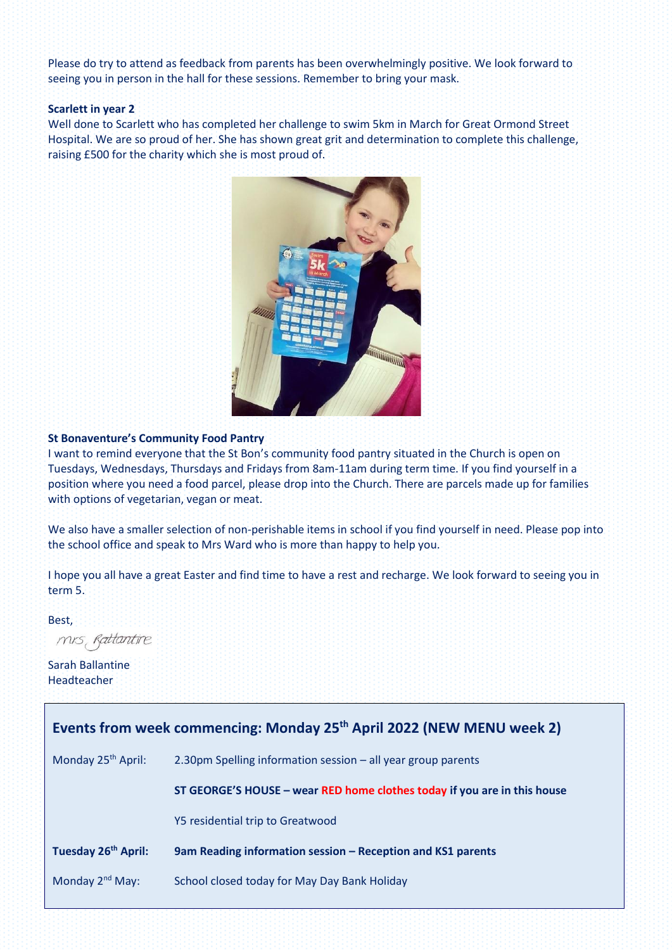Please do try to attend as feedback from parents has been overwhelmingly positive. We look forward to seeing you in person in the hall for these sessions. Remember to bring your mask.

#### **Scarlett in year 2**

Well done to Scarlett who has completed her challenge to swim 5km in March for Great Ormond Street Hospital. We are so proud of her. She has shown great grit and determination to complete this challenge, raising £500 for the charity which she is most proud of.



### **St Bonaventure's Community Food Pantry**

I want to remind everyone that the St Bon's community food pantry situated in the Church is open on Tuesdays, Wednesdays, Thursdays and Fridays from 8am-11am during term time. If you find yourself in a position where you need a food parcel, please drop into the Church. There are parcels made up for families with options of vegetarian, vegan or meat.

We also have a smaller selection of non-perishable items in school if you find yourself in need. Please pop into the school office and speak to Mrs Ward who is more than happy to help you.

I hope you all have a great Easter and find time to have a rest and recharge. We look forward to seeing you in term 5.

Best,

mis Rattantire

Sarah Ballantine Headteacher

| Events from week commencing: Monday 25 <sup>th</sup> April 2022 (NEW MENU week 2) |                                                                          |
|-----------------------------------------------------------------------------------|--------------------------------------------------------------------------|
| Monday 25 <sup>th</sup> April:                                                    | 2.30pm Spelling information session - all year group parents             |
|                                                                                   | ST GEORGE'S HOUSE - wear RED home clothes today if you are in this house |
|                                                                                   | Y5 residential trip to Greatwood                                         |
| Tuesday 26 <sup>th</sup> April:                                                   | 9am Reading information session - Reception and KS1 parents              |
| Monday 2 <sup>nd</sup> May:                                                       | School closed today for May Day Bank Holiday                             |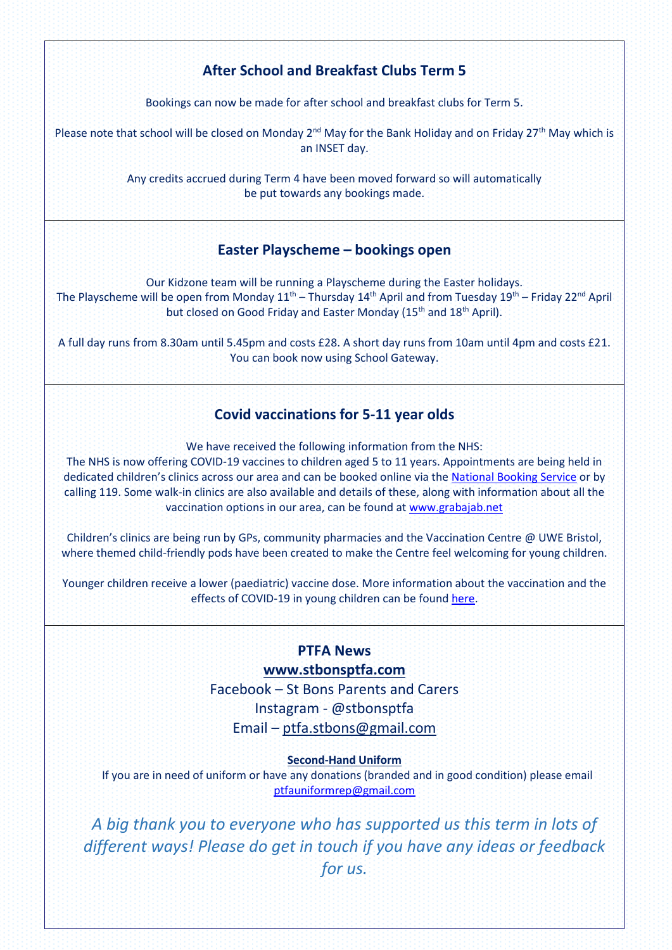# **After School and Breakfast Clubs Term 5**

Bookings can now be made for after school and breakfast clubs for Term 5.

Please note that school will be closed on Monday 2<sup>nd</sup> May for the Bank Holiday and on Friday 27<sup>th</sup> May which is an INSET day.

> Any credits accrued during Term 4 have been moved forward so will automatically be put towards any bookings made.

## **Easter Playscheme – bookings open**

Our Kidzone team will be running a Playscheme during the Easter holidays. The Playscheme will be open from Monday  $11^{\text{th}}$  – Thursday  $14^{\text{th}}$  April and from Tuesday  $19^{\text{th}}$  – Friday 22<sup>nd</sup> April but closed on Good Friday and Easter Monday (15<sup>th</sup> and 18<sup>th</sup> April).

A full day runs from 8.30am until 5.45pm and costs £28. A short day runs from 10am until 4pm and costs £21. You can book now using School Gateway.

## **Covid vaccinations for 5-11 year olds**

We have received the following information from the NHS:

The NHS is now offering COVID-19 vaccines to children aged 5 to 11 years. Appointments are being held in dedicated children's clinics across our area and can be booked online via the [National Booking Service](https://www.nhs.uk/conditions/coronavirus-covid-19/coronavirus-vaccination/book-coronavirus-vaccination/) or by calling 119. Some walk-in clinics are also available and details of these, along with information about all the vaccination options in our area, can be found a[t www.grabajab.net](http://www.grabajab.net/)

Children's clinics are being run by GPs, community pharmacies and the Vaccination Centre @ UWE Bristol, where themed child-friendly pods have been created to make the Centre feel welcoming for young children.

Younger children receive a lower (paediatric) vaccine dose. More information about the vaccination and the effects of COVID-19 in young children can be found [here.](https://www.gov.uk/government/publications/covid-19-vaccination-resources-for-children-aged-5-to-11-years)

# **PTFA News**

## **[www.stbonsptfa.com](file:///C:/Users/sophi/Documents/Personal/PTFA/www.stbonsptfa.com)**

Facebook – St Bons Parents and Carers Instagram - @stbonsptfa Email – [ptfa.stbons@gmail.com](mailto:ptfa.stbons@gmail.com)

### **Second-Hand Uniform**

 If you are in need of uniform or have any donations (branded and in good condition) please email [ptfauniformrep@gmail.com](mailto:ptfauniformrep@gmail.com)

*A big thank you to everyone who has supported us this term in lots of different ways! Please do get in touch if you have any ideas or feedback for us.*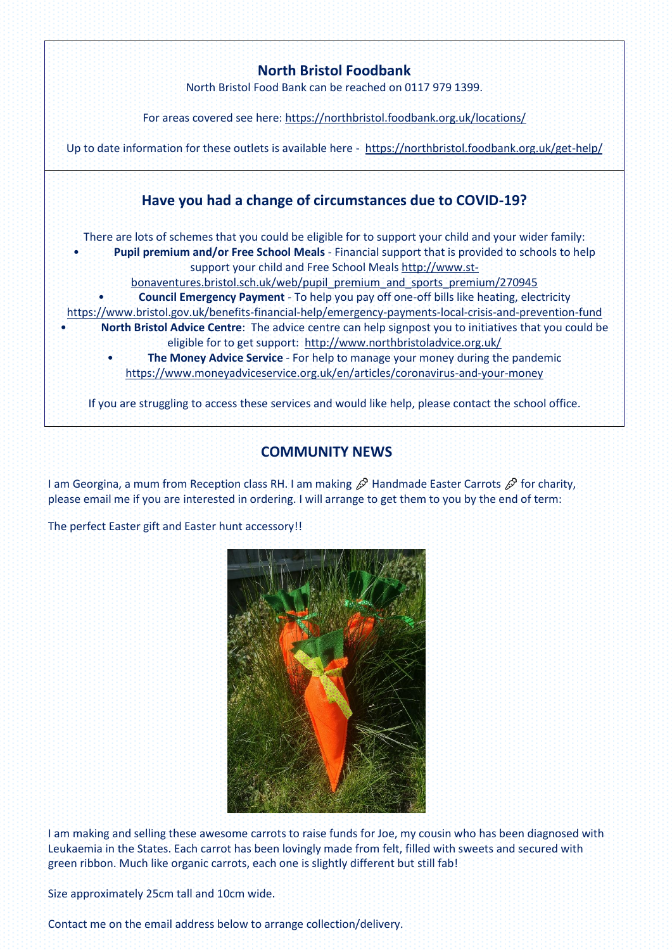

# **COMMUNITY NEWS**

I am Georgina, a mum from Reception class RH. I am making  $\mathscr P$  Handmade Easter Carrots  $\mathscr P$  for charity, please email me if you are interested in ordering. I will arrange to get them to you by the end of term:

The perfect Easter gift and Easter hunt accessory!!



I am making and selling these awesome carrots to raise funds for Joe, my cousin who has been diagnosed with Leukaemia in the States. Each carrot has been lovingly made from felt, filled with sweets and secured with green ribbon. Much like organic carrots, each one is slightly different but still fab!

Size approximately 25cm tall and 10cm wide.

Contact me on the email address below to arrange collection/delivery.